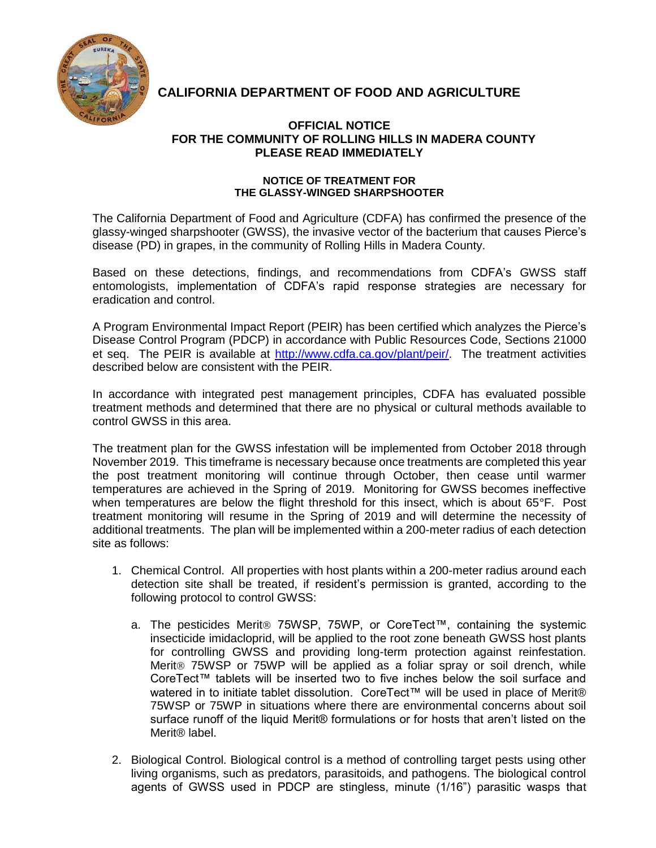

# **CALIFORNIA DEPARTMENT OF FOOD AND AGRICULTURE**

#### **OFFICIAL NOTICE FOR THE COMMUNITY OF ROLLING HILLS IN MADERA COUNTY PLEASE READ IMMEDIATELY**

#### **NOTICE OF TREATMENT FOR THE GLASSY-WINGED SHARPSHOOTER**

The California Department of Food and Agriculture (CDFA) has confirmed the presence of the glassy-winged sharpshooter (GWSS), the invasive vector of the bacterium that causes Pierce's disease (PD) in grapes, in the community of Rolling Hills in Madera County.

Based on these detections, findings, and recommendations from CDFA's GWSS staff entomologists, implementation of CDFA's rapid response strategies are necessary for eradication and control.

A Program Environmental Impact Report (PEIR) has been certified which analyzes the Pierce's Disease Control Program (PDCP) in accordance with Public Resources Code, Sections 21000 et seq. The PEIR is available at [http://www.cdfa.ca.gov/plant/peir/.](http://www.cdfa.ca.gov/plant/peir/) The treatment activities described below are consistent with the PEIR.

In accordance with integrated pest management principles, CDFA has evaluated possible treatment methods and determined that there are no physical or cultural methods available to control GWSS in this area.

The treatment plan for the GWSS infestation will be implemented from October 2018 through November 2019. This timeframe is necessary because once treatments are completed this year the post treatment monitoring will continue through October, then cease until warmer temperatures are achieved in the Spring of 2019. Monitoring for GWSS becomes ineffective when temperatures are below the flight threshold for this insect, which is about 65**°**F. Post treatment monitoring will resume in the Spring of 2019 and will determine the necessity of additional treatments. The plan will be implemented within a 200-meter radius of each detection site as follows:

- 1. Chemical Control. All properties with host plants within a 200-meter radius around each detection site shall be treated, if resident's permission is granted, according to the following protocol to control GWSS:
	- a. The pesticides Merit<sup>®</sup> 75WSP, 75WP, or CoreTect<sup>™</sup>, containing the systemic insecticide imidacloprid, will be applied to the root zone beneath GWSS host plants for controlling GWSS and providing long-term protection against reinfestation. Merit<sup>®</sup> 75WSP or 75WP will be applied as a foliar spray or soil drench, while CoreTect™ tablets will be inserted two to five inches below the soil surface and watered in to initiate tablet dissolution. CoreTect™ will be used in place of Merit® 75WSP or 75WP in situations where there are environmental concerns about soil surface runoff of the liquid Merit® formulations or for hosts that aren't listed on the Merit® label.
- 2. Biological Control. Biological control is a method of controlling target pests using other living organisms, such as predators, parasitoids, and pathogens. The biological control agents of GWSS used in PDCP are stingless, minute (1/16") parasitic wasps that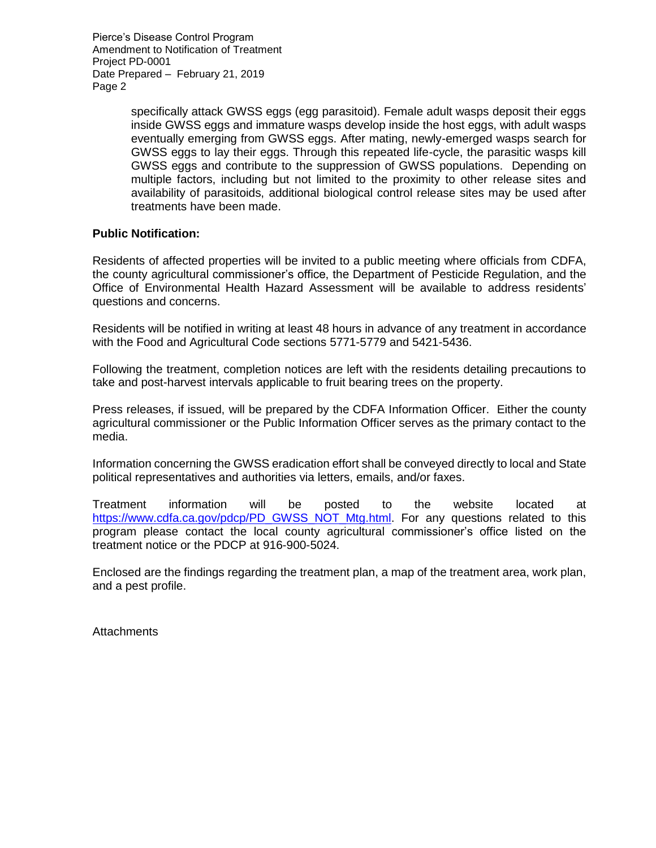Pierce's Disease Control Program Amendment to Notification of Treatment Project PD-0001 Date Prepared – February 21, 2019 Page 2

> specifically attack GWSS eggs (egg parasitoid). Female adult wasps deposit their eggs inside GWSS eggs and immature wasps develop inside the host eggs, with adult wasps eventually emerging from GWSS eggs. After mating, newly-emerged wasps search for GWSS eggs to lay their eggs. Through this repeated life-cycle, the parasitic wasps kill GWSS eggs and contribute to the suppression of GWSS populations. Depending on multiple factors, including but not limited to the proximity to other release sites and availability of parasitoids, additional biological control release sites may be used after treatments have been made.

#### **Public Notification:**

Residents of affected properties will be invited to a public meeting where officials from CDFA, the county agricultural commissioner's office, the Department of Pesticide Regulation, and the Office of Environmental Health Hazard Assessment will be available to address residents' questions and concerns.

Residents will be notified in writing at least 48 hours in advance of any treatment in accordance with the Food and Agricultural Code sections 5771-5779 and 5421-5436.

Following the treatment, completion notices are left with the residents detailing precautions to take and post-harvest intervals applicable to fruit bearing trees on the property.

Press releases, if issued, will be prepared by the CDFA Information Officer. Either the county agricultural commissioner or the Public Information Officer serves as the primary contact to the media.

Information concerning the GWSS eradication effort shall be conveyed directly to local and State political representatives and authorities via letters, emails, and/or faxes.

Treatment information will be posted to the website located at [https://www.cdfa.ca.gov/pdcp/PD\\_GWSS\\_NOT\\_Mtg.html.](https://www.cdfa.ca.gov/pdcp/PD_GWSS_NOT_Mtg.html) For any questions related to this program please contact the local county agricultural commissioner's office listed on the treatment notice or the PDCP at 916-900-5024.

Enclosed are the findings regarding the treatment plan, a map of the treatment area, work plan, and a pest profile.

**Attachments**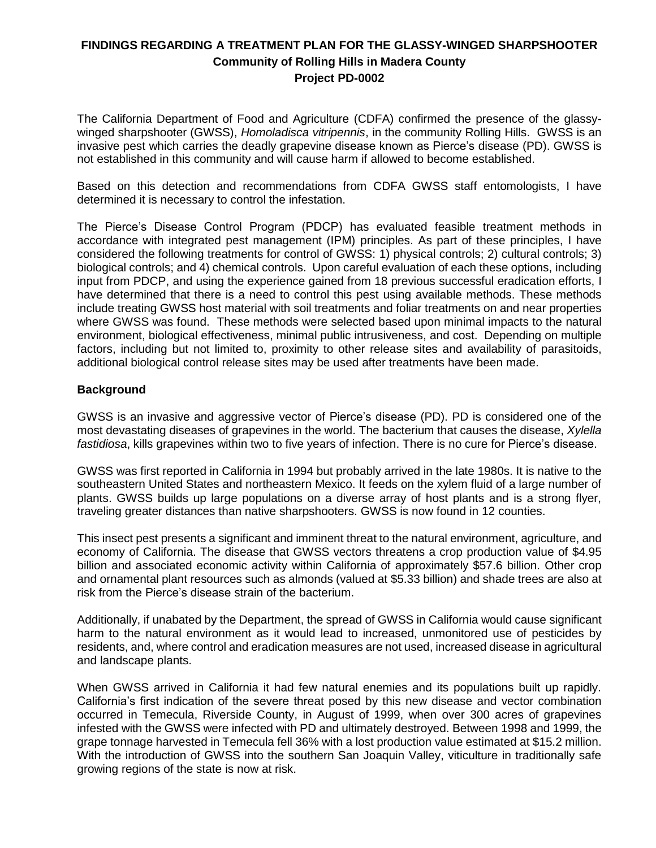# **FINDINGS REGARDING A TREATMENT PLAN FOR THE GLASSY-WINGED SHARPSHOOTER Community of Rolling Hills in Madera County Project PD-0002**

The California Department of Food and Agriculture (CDFA) confirmed the presence of the glassywinged sharpshooter (GWSS), *Homoladisca vitripennis*, in the community Rolling Hills. GWSS is an invasive pest which carries the deadly grapevine disease known as Pierce's disease (PD). GWSS is not established in this community and will cause harm if allowed to become established.

Based on this detection and recommendations from CDFA GWSS staff entomologists, I have determined it is necessary to control the infestation.

The Pierce's Disease Control Program (PDCP) has evaluated feasible treatment methods in accordance with integrated pest management (IPM) principles. As part of these principles, I have considered the following treatments for control of GWSS: 1) physical controls; 2) cultural controls; 3) biological controls; and 4) chemical controls. Upon careful evaluation of each these options, including input from PDCP, and using the experience gained from 18 previous successful eradication efforts, I have determined that there is a need to control this pest using available methods. These methods include treating GWSS host material with soil treatments and foliar treatments on and near properties where GWSS was found. These methods were selected based upon minimal impacts to the natural environment, biological effectiveness, minimal public intrusiveness, and cost. Depending on multiple factors, including but not limited to, proximity to other release sites and availability of parasitoids, additional biological control release sites may be used after treatments have been made.

#### **Background**

GWSS is an invasive and aggressive vector of Pierce's disease (PD). PD is considered one of the most devastating diseases of grapevines in the world. The bacterium that causes the disease, *Xylella fastidiosa*, kills grapevines within two to five years of infection. There is no cure for Pierce's disease.

GWSS was first reported in California in 1994 but probably arrived in the late 1980s. It is native to the southeastern United States and northeastern Mexico. It feeds on the xylem fluid of a large number of plants. GWSS builds up large populations on a diverse array of host plants and is a strong flyer, traveling greater distances than native sharpshooters. GWSS is now found in 12 counties.

This insect pest presents a significant and imminent threat to the natural environment, agriculture, and economy of California. The disease that GWSS vectors threatens a crop production value of \$4.95 billion and associated economic activity within California of approximately \$57.6 billion. Other crop and ornamental plant resources such as almonds (valued at \$5.33 billion) and shade trees are also at risk from the Pierce's disease strain of the bacterium.

Additionally, if unabated by the Department, the spread of GWSS in California would cause significant harm to the natural environment as it would lead to increased, unmonitored use of pesticides by residents, and, where control and eradication measures are not used, increased disease in agricultural and landscape plants.

When GWSS arrived in California it had few natural enemies and its populations built up rapidly. California's first indication of the severe threat posed by this new disease and vector combination occurred in Temecula, Riverside County, in August of 1999, when over 300 acres of grapevines infested with the GWSS were infected with PD and ultimately destroyed. Between 1998 and 1999, the grape tonnage harvested in Temecula fell 36% with a lost production value estimated at \$15.2 million. With the introduction of GWSS into the southern San Joaquin Valley, viticulture in traditionally safe growing regions of the state is now at risk.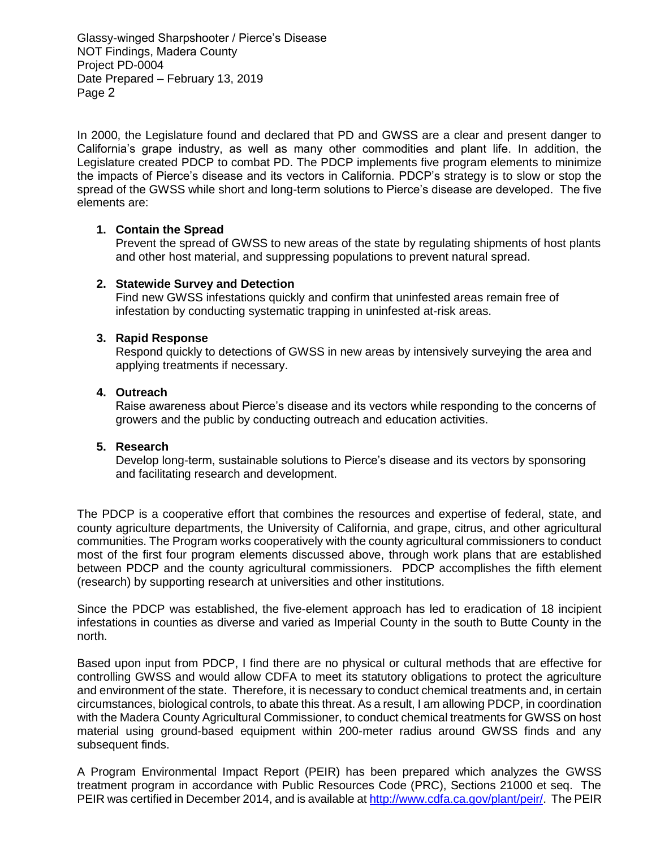Glassy-winged Sharpshooter / Pierce's Disease NOT Findings, Madera County Project PD-0004 Date Prepared – February 13, 2019 Page 2

In 2000, the Legislature found and declared that PD and GWSS are a clear and present danger to California's grape industry, as well as many other commodities and plant life. In addition, the Legislature created PDCP to combat PD. The PDCP implements five program elements to minimize the impacts of Pierce's disease and its vectors in California. PDCP's strategy is to slow or stop the spread of the GWSS while short and long-term solutions to Pierce's disease are developed. The five elements are:

### **1. Contain the Spread**

Prevent the spread of GWSS to new areas of the state by regulating shipments of host plants and other host material, and suppressing populations to prevent natural spread.

#### **2. Statewide Survey and Detection**

Find new GWSS infestations quickly and confirm that uninfested areas remain free of infestation by conducting systematic trapping in uninfested at-risk areas.

#### **3. Rapid Response**

Respond quickly to detections of GWSS in new areas by intensively surveying the area and applying treatments if necessary.

### **4. Outreach**

Raise awareness about Pierce's disease and its vectors while responding to the concerns of growers and the public by conducting outreach and education activities.

#### **5. Research**

Develop long-term, sustainable solutions to Pierce's disease and its vectors by sponsoring and facilitating research and development.

The PDCP is a cooperative effort that combines the resources and expertise of federal, state, and county agriculture departments, the University of California, and grape, citrus, and other agricultural communities. The Program works cooperatively with the county agricultural commissioners to conduct most of the first four program elements discussed above, through work plans that are established between PDCP and the county agricultural commissioners. PDCP accomplishes the fifth element (research) by supporting research at universities and other institutions.

Since the PDCP was established, the five-element approach has led to eradication of 18 incipient infestations in counties as diverse and varied as Imperial County in the south to Butte County in the north.

Based upon input from PDCP, I find there are no physical or cultural methods that are effective for controlling GWSS and would allow CDFA to meet its statutory obligations to protect the agriculture and environment of the state. Therefore, it is necessary to conduct chemical treatments and, in certain circumstances, biological controls, to abate this threat. As a result, I am allowing PDCP, in coordination with the Madera County Agricultural Commissioner, to conduct chemical treatments for GWSS on host material using ground-based equipment within 200-meter radius around GWSS finds and any subsequent finds.

A Program Environmental Impact Report (PEIR) has been prepared which analyzes the GWSS treatment program in accordance with Public Resources Code (PRC), Sections 21000 et seq. The PEIR was certified in December 2014, and is available at [http://www.cdfa.ca.gov/plant/peir/.](http://www.cdfa.ca.gov/plant/peir/) The PEIR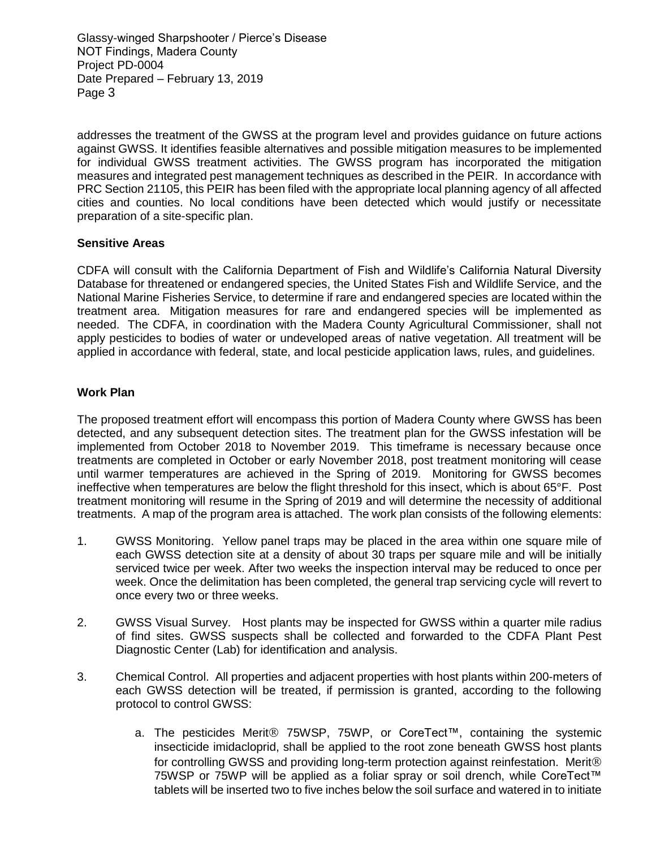Glassy-winged Sharpshooter / Pierce's Disease NOT Findings, Madera County Project PD-0004 Date Prepared – February 13, 2019 Page 3

addresses the treatment of the GWSS at the program level and provides guidance on future actions against GWSS. It identifies feasible alternatives and possible mitigation measures to be implemented for individual GWSS treatment activities. The GWSS program has incorporated the mitigation measures and integrated pest management techniques as described in the PEIR. In accordance with PRC Section 21105, this PEIR has been filed with the appropriate local planning agency of all affected cities and counties. No local conditions have been detected which would justify or necessitate preparation of a site-specific plan.

#### **Sensitive Areas**

CDFA will consult with the California Department of Fish and Wildlife's California Natural Diversity Database for threatened or endangered species, the United States Fish and Wildlife Service, and the National Marine Fisheries Service, to determine if rare and endangered species are located within the treatment area. Mitigation measures for rare and endangered species will be implemented as needed. The CDFA, in coordination with the Madera County Agricultural Commissioner, shall not apply pesticides to bodies of water or undeveloped areas of native vegetation. All treatment will be applied in accordance with federal, state, and local pesticide application laws, rules, and guidelines.

#### **Work Plan**

The proposed treatment effort will encompass this portion of Madera County where GWSS has been detected, and any subsequent detection sites. The treatment plan for the GWSS infestation will be implemented from October 2018 to November 2019. This timeframe is necessary because once treatments are completed in October or early November 2018, post treatment monitoring will cease until warmer temperatures are achieved in the Spring of 2019. Monitoring for GWSS becomes ineffective when temperatures are below the flight threshold for this insect, which is about 65**°**F. Post treatment monitoring will resume in the Spring of 2019 and will determine the necessity of additional treatments. A map of the program area is attached. The work plan consists of the following elements:

- 1. GWSS Monitoring. Yellow panel traps may be placed in the area within one square mile of each GWSS detection site at a density of about 30 traps per square mile and will be initially serviced twice per week. After two weeks the inspection interval may be reduced to once per week. Once the delimitation has been completed, the general trap servicing cycle will revert to once every two or three weeks.
- 2. GWSS Visual Survey. Host plants may be inspected for GWSS within a quarter mile radius of find sites. GWSS suspects shall be collected and forwarded to the CDFA Plant Pest Diagnostic Center (Lab) for identification and analysis.
- 3. Chemical Control. All properties and adjacent properties with host plants within 200-meters of each GWSS detection will be treated, if permission is granted, according to the following protocol to control GWSS:
	- a. The pesticides Merit® 75WSP, 75WP, or CoreTect™, containing the systemic insecticide imidacloprid, shall be applied to the root zone beneath GWSS host plants for controlling GWSS and providing long-term protection against reinfestation. Merit<sup>®</sup> 75WSP or 75WP will be applied as a foliar spray or soil drench, while CoreTect™ tablets will be inserted two to five inches below the soil surface and watered in to initiate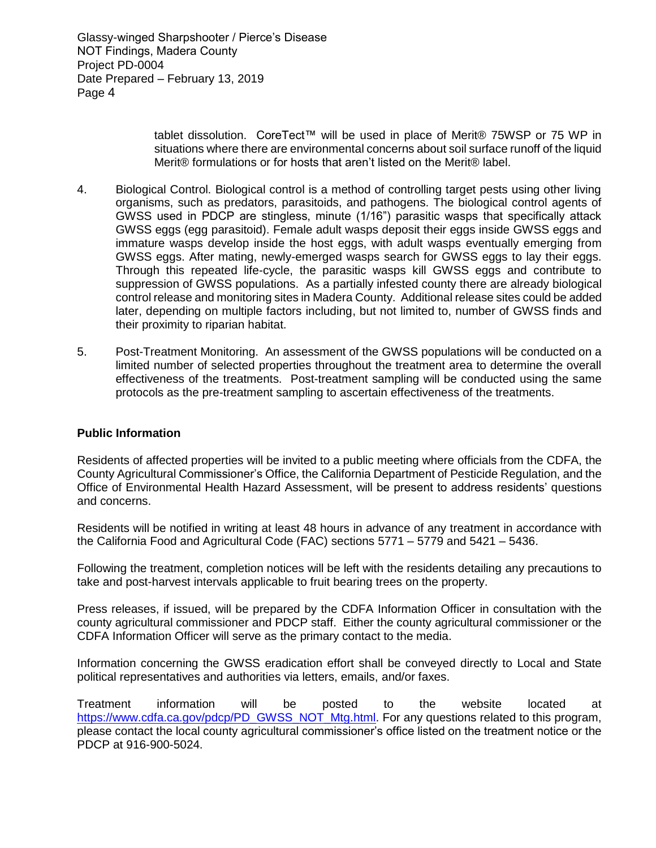Glassy-winged Sharpshooter / Pierce's Disease NOT Findings, Madera County Project PD-0004 Date Prepared – February 13, 2019 Page 4

> tablet dissolution. CoreTect™ will be used in place of Merit® 75WSP or 75 WP in situations where there are environmental concerns about soil surface runoff of the liquid Merit® formulations or for hosts that aren't listed on the Merit® label.

- 4. Biological Control. Biological control is a method of controlling target pests using other living organisms, such as predators, parasitoids, and pathogens. The biological control agents of GWSS used in PDCP are stingless, minute (1/16") parasitic wasps that specifically attack GWSS eggs (egg parasitoid). Female adult wasps deposit their eggs inside GWSS eggs and immature wasps develop inside the host eggs, with adult wasps eventually emerging from GWSS eggs. After mating, newly-emerged wasps search for GWSS eggs to lay their eggs. Through this repeated life-cycle, the parasitic wasps kill GWSS eggs and contribute to suppression of GWSS populations. As a partially infested county there are already biological control release and monitoring sites in Madera County. Additional release sites could be added later, depending on multiple factors including, but not limited to, number of GWSS finds and their proximity to riparian habitat.
- 5. Post-Treatment Monitoring. An assessment of the GWSS populations will be conducted on a limited number of selected properties throughout the treatment area to determine the overall effectiveness of the treatments. Post-treatment sampling will be conducted using the same protocols as the pre-treatment sampling to ascertain effectiveness of the treatments.

#### **Public Information**

Residents of affected properties will be invited to a public meeting where officials from the CDFA, the County Agricultural Commissioner's Office, the California Department of Pesticide Regulation, and the Office of Environmental Health Hazard Assessment, will be present to address residents' questions and concerns.

Residents will be notified in writing at least 48 hours in advance of any treatment in accordance with the California Food and Agricultural Code (FAC) sections 5771 – 5779 and 5421 – 5436.

Following the treatment, completion notices will be left with the residents detailing any precautions to take and post-harvest intervals applicable to fruit bearing trees on the property.

Press releases, if issued, will be prepared by the CDFA Information Officer in consultation with the county agricultural commissioner and PDCP staff. Either the county agricultural commissioner or the CDFA Information Officer will serve as the primary contact to the media.

Information concerning the GWSS eradication effort shall be conveyed directly to Local and State political representatives and authorities via letters, emails, and/or faxes.

Treatment information will be posted to the website located at [https://www.cdfa.ca.gov/pdcp/PD\\_GWSS\\_NOT\\_Mtg.html.](https://www.cdfa.ca.gov/pdcp/PD_GWSS_NOT_Mtg.html) For any questions related to this program, please contact the local county agricultural commissioner's office listed on the treatment notice or the PDCP at 916-900-5024.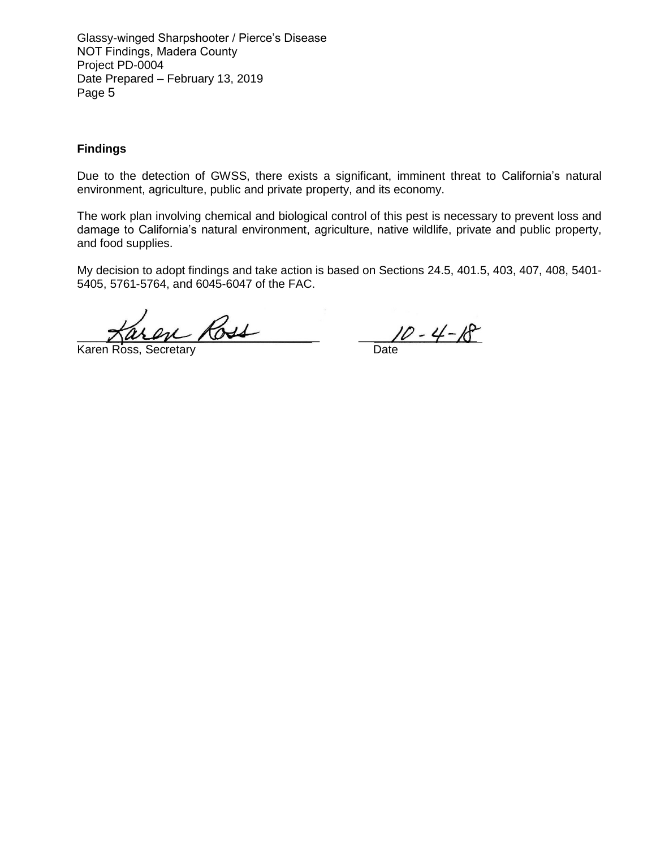Glassy-winged Sharpshooter / Pierce's Disease NOT Findings, Madera County Project PD-0004 Date Prepared – February 13, 2019 Page 5

### **Findings**

Due to the detection of GWSS, there exists a significant, imminent threat to California's natural environment, agriculture, public and private property, and its economy.

The work plan involving chemical and biological control of this pest is necessary to prevent loss and damage to California's natural environment, agriculture, native wildlife, private and public property, and food supplies.

My decision to adopt findings and take action is based on Sections 24.5, 401.5, 403, 407, 408, 5401- 5405, 5761-5764, and 6045-6047 of the FAC.

 $R_{\text{out}}$ 

Karen Ross, Secretary

 $10 - 4 - 18$ Date<sub></sub>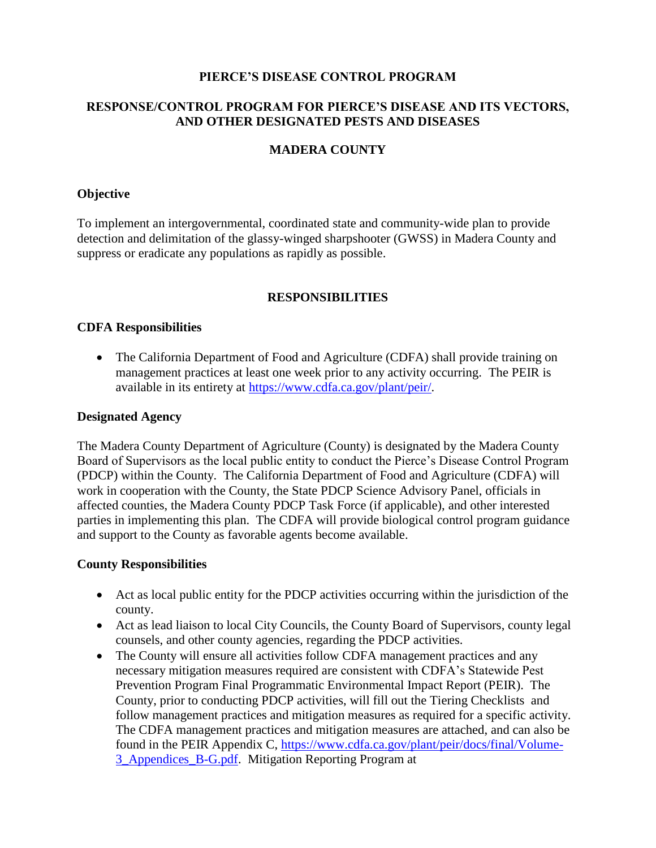### **PIERCE'S DISEASE CONTROL PROGRAM**

# **RESPONSE/CONTROL PROGRAM FOR PIERCE'S DISEASE AND ITS VECTORS, AND OTHER DESIGNATED PESTS AND DISEASES**

### **MADERA COUNTY**

### **Objective**

To implement an intergovernmental, coordinated state and community-wide plan to provide detection and delimitation of the glassy-winged sharpshooter (GWSS) in Madera County and suppress or eradicate any populations as rapidly as possible.

### **RESPONSIBILITIES**

#### **CDFA Responsibilities**

• The California Department of Food and Agriculture (CDFA) shall provide training on management practices at least one week prior to any activity occurring. The PEIR is available in its entirety at [https://www.cdfa.ca.gov/plant/peir/.](https://www.cdfa.ca.gov/plant/peir/)

#### **Designated Agency**

The Madera County Department of Agriculture (County) is designated by the Madera County Board of Supervisors as the local public entity to conduct the Pierce's Disease Control Program (PDCP) within the County. The California Department of Food and Agriculture (CDFA) will work in cooperation with the County, the State PDCP Science Advisory Panel, officials in affected counties, the Madera County PDCP Task Force (if applicable), and other interested parties in implementing this plan. The CDFA will provide biological control program guidance and support to the County as favorable agents become available.

#### **County Responsibilities**

- Act as local public entity for the PDCP activities occurring within the jurisdiction of the county.
- Act as lead liaison to local City Councils, the County Board of Supervisors, county legal counsels, and other county agencies, regarding the PDCP activities.
- The County will ensure all activities follow CDFA management practices and any necessary mitigation measures required are consistent with CDFA's Statewide Pest Prevention Program Final Programmatic Environmental Impact Report (PEIR). The County, prior to conducting PDCP activities, will fill out the Tiering Checklists and follow management practices and mitigation measures as required for a specific activity. The CDFA management practices and mitigation measures are attached, and can also be found in the PEIR Appendix C, [https://www.cdfa.ca.gov/plant/peir/docs/final/Volume-](https://www.cdfa.ca.gov/plant/peir/docs/final/Volume-3_Appendices_B-G.pdf)[3\\_Appendices\\_B-G.pdf.](https://www.cdfa.ca.gov/plant/peir/docs/final/Volume-3_Appendices_B-G.pdf) Mitigation Reporting Program at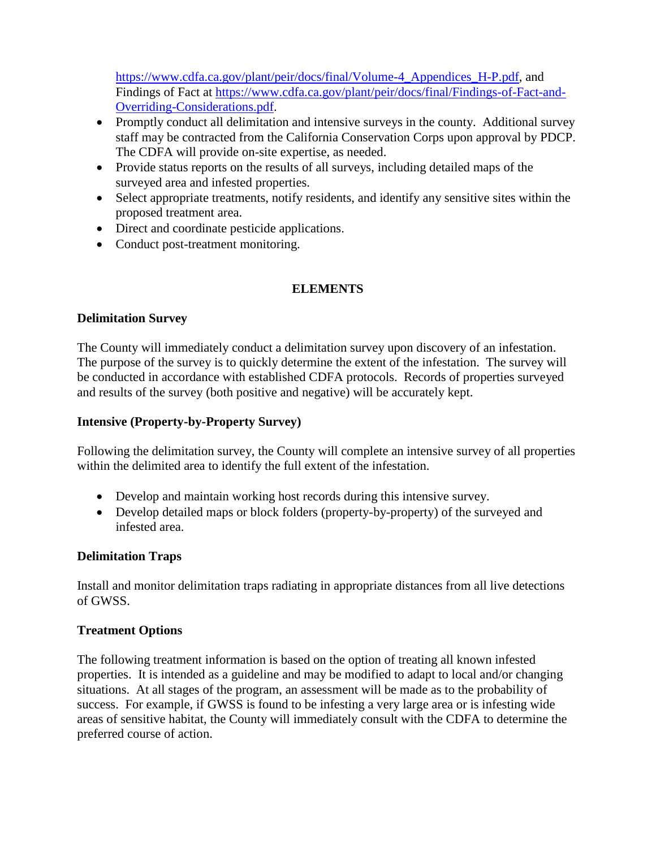https://www.cdfa.ca.gov/plant/peir/docs/final/Volume-4 Appendices H-P.pdf, and Findings of Fact at [https://www.cdfa.ca.gov/plant/peir/docs/final/Findings-of-Fact-and-](https://www.cdfa.ca.gov/plant/peir/docs/final/Findings-of-Fact-and-Overriding-Considerations.pdf)[Overriding-Considerations.pdf.](https://www.cdfa.ca.gov/plant/peir/docs/final/Findings-of-Fact-and-Overriding-Considerations.pdf)

- Promptly conduct all delimitation and intensive surveys in the county. Additional survey staff may be contracted from the California Conservation Corps upon approval by PDCP. The CDFA will provide on-site expertise, as needed.
- Provide status reports on the results of all surveys, including detailed maps of the surveyed area and infested properties.
- Select appropriate treatments, notify residents, and identify any sensitive sites within the proposed treatment area.
- Direct and coordinate pesticide applications.
- Conduct post-treatment monitoring.

# **ELEMENTS**

# **Delimitation Survey**

The County will immediately conduct a delimitation survey upon discovery of an infestation. The purpose of the survey is to quickly determine the extent of the infestation. The survey will be conducted in accordance with established CDFA protocols. Records of properties surveyed and results of the survey (both positive and negative) will be accurately kept.

# **Intensive (Property-by-Property Survey)**

Following the delimitation survey, the County will complete an intensive survey of all properties within the delimited area to identify the full extent of the infestation.

- Develop and maintain working host records during this intensive survey.
- Develop detailed maps or block folders (property-by-property) of the surveyed and infested area.

# **Delimitation Traps**

Install and monitor delimitation traps radiating in appropriate distances from all live detections of GWSS.

# **Treatment Options**

The following treatment information is based on the option of treating all known infested properties. It is intended as a guideline and may be modified to adapt to local and/or changing situations. At all stages of the program, an assessment will be made as to the probability of success. For example, if GWSS is found to be infesting a very large area or is infesting wide areas of sensitive habitat, the County will immediately consult with the CDFA to determine the preferred course of action.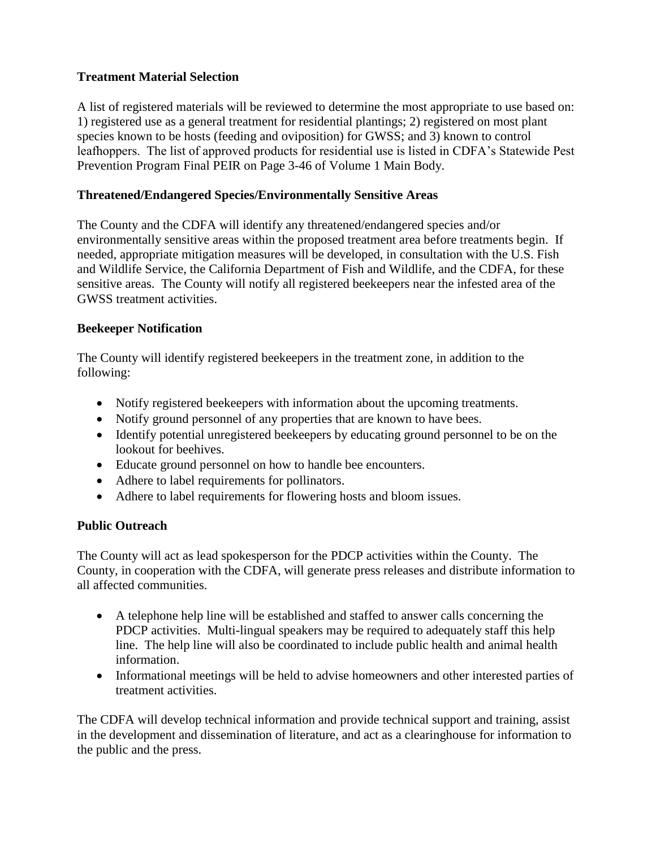# **Treatment Material Selection**

A list of registered materials will be reviewed to determine the most appropriate to use based on: 1) registered use as a general treatment for residential plantings; 2) registered on most plant species known to be hosts (feeding and oviposition) for GWSS; and 3) known to control leafhoppers. The list of approved products for residential use is listed in CDFA's Statewide Pest Prevention Program Final PEIR on Page 3-46 of Volume 1 Main Body.

# **Threatened/Endangered Species/Environmentally Sensitive Areas**

The County and the CDFA will identify any threatened/endangered species and/or environmentally sensitive areas within the proposed treatment area before treatments begin. If needed, appropriate mitigation measures will be developed, in consultation with the U.S. Fish and Wildlife Service, the California Department of Fish and Wildlife, and the CDFA, for these sensitive areas. The County will notify all registered beekeepers near the infested area of the GWSS treatment activities.

### **Beekeeper Notification**

The County will identify registered beekeepers in the treatment zone, in addition to the following:

- Notify registered beekeepers with information about the upcoming treatments.
- Notify ground personnel of any properties that are known to have bees.
- Identify potential unregistered beekeepers by educating ground personnel to be on the lookout for beehives.
- Educate ground personnel on how to handle bee encounters.
- Adhere to label requirements for pollinators.
- Adhere to label requirements for flowering hosts and bloom issues.

# **Public Outreach**

The County will act as lead spokesperson for the PDCP activities within the County. The County, in cooperation with the CDFA, will generate press releases and distribute information to all affected communities.

- A telephone help line will be established and staffed to answer calls concerning the PDCP activities. Multi-lingual speakers may be required to adequately staff this help line. The help line will also be coordinated to include public health and animal health information.
- Informational meetings will be held to advise homeowners and other interested parties of treatment activities.

The CDFA will develop technical information and provide technical support and training, assist in the development and dissemination of literature, and act as a clearinghouse for information to the public and the press.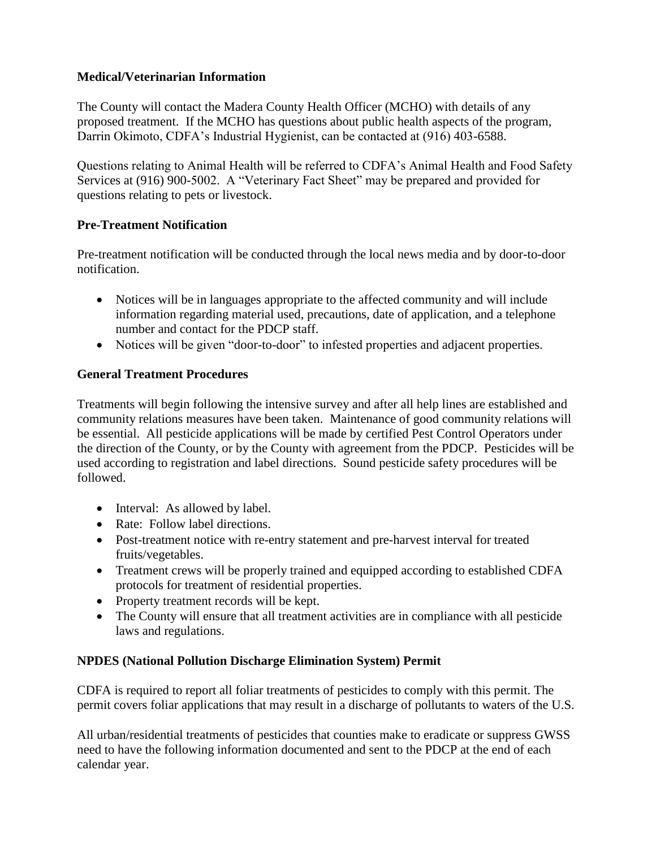# **Medical/Veterinarian Information**

The County will contact the Madera County Health Officer (MCHO) with details of any proposed treatment. If the MCHO has questions about public health aspects of the program, Darrin Okimoto, CDFA's Industrial Hygienist, can be contacted at (916) 403-6588.

Questions relating to Animal Health will be referred to CDFA's Animal Health and Food Safety Services at (916) 900-5002. A "Veterinary Fact Sheet" may be prepared and provided for questions relating to pets or livestock.

# **Pre-Treatment Notification**

Pre-treatment notification will be conducted through the local news media and by door-to-door notification.

- Notices will be in languages appropriate to the affected community and will include information regarding material used, precautions, date of application, and a telephone number and contact for the PDCP staff.
- Notices will be given "door-to-door" to infested properties and adjacent properties.

# **General Treatment Procedures**

Treatments will begin following the intensive survey and after all help lines are established and community relations measures have been taken. Maintenance of good community relations will be essential. All pesticide applications will be made by certified Pest Control Operators under the direction of the County, or by the County with agreement from the PDCP. Pesticides will be used according to registration and label directions. Sound pesticide safety procedures will be followed.

- Interval: As allowed by label.
- Rate: Follow label directions.
- Post-treatment notice with re-entry statement and pre-harvest interval for treated fruits/vegetables.
- Treatment crews will be properly trained and equipped according to established CDFA protocols for treatment of residential properties.
- Property treatment records will be kept.
- The County will ensure that all treatment activities are in compliance with all pesticide laws and regulations.

# **NPDES (National Pollution Discharge Elimination System) Permit**

CDFA is required to report all foliar treatments of pesticides to comply with this permit. The permit covers foliar applications that may result in a discharge of pollutants to waters of the U.S.

All urban/residential treatments of pesticides that counties make to eradicate or suppress GWSS need to have the following information documented and sent to the PDCP at the end of each calendar year.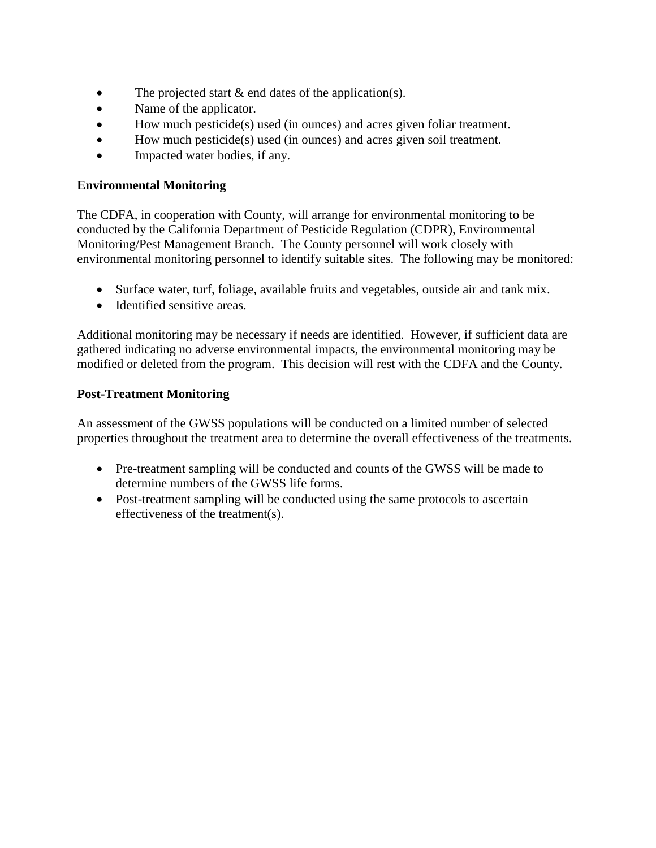- The projected start  $\&$  end dates of the application(s).
- Name of the applicator.
- How much pesticide(s) used (in ounces) and acres given foliar treatment.
- How much pesticide(s) used (in ounces) and acres given soil treatment.
- Impacted water bodies, if any.

# **Environmental Monitoring**

The CDFA, in cooperation with County, will arrange for environmental monitoring to be conducted by the California Department of Pesticide Regulation (CDPR), Environmental Monitoring/Pest Management Branch. The County personnel will work closely with environmental monitoring personnel to identify suitable sites. The following may be monitored:

- Surface water, turf, foliage, available fruits and vegetables, outside air and tank mix.
- Identified sensitive areas.

Additional monitoring may be necessary if needs are identified. However, if sufficient data are gathered indicating no adverse environmental impacts, the environmental monitoring may be modified or deleted from the program. This decision will rest with the CDFA and the County.

# **Post-Treatment Monitoring**

An assessment of the GWSS populations will be conducted on a limited number of selected properties throughout the treatment area to determine the overall effectiveness of the treatments.

- Pre-treatment sampling will be conducted and counts of the GWSS will be made to determine numbers of the GWSS life forms.
- Post-treatment sampling will be conducted using the same protocols to ascertain effectiveness of the treatment(s).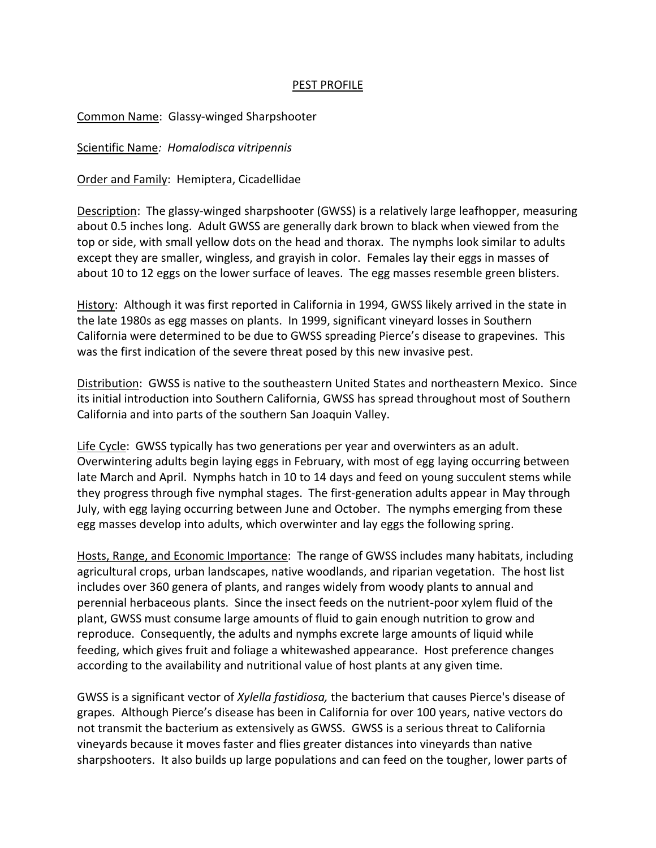### PEST PROFILE

### Common Name: Glassy-winged Sharpshooter

Scientific Name*: Homalodisca vitripennis*

Order and Family: Hemiptera, Cicadellidae

Description: The glassy-winged sharpshooter (GWSS) is a relatively large leafhopper, measuring about 0.5 inches long. Adult GWSS are generally dark brown to black when viewed from the top or side, with small yellow dots on the head and thorax. The nymphs look similar to adults except they are smaller, wingless, and grayish in color. Females lay their eggs in masses of about 10 to 12 eggs on the lower surface of leaves. The egg masses resemble green blisters.

History: Although it was first reported in California in 1994, GWSS likely arrived in the state in the late 1980s as egg masses on plants. In 1999, significant vineyard losses in Southern California were determined to be due to GWSS spreading Pierce's disease to grapevines. This was the first indication of the severe threat posed by this new invasive pest.

Distribution: GWSS is native to the southeastern United States and northeastern Mexico. Since its initial introduction into Southern California, GWSS has spread throughout most of Southern California and into parts of the southern San Joaquin Valley.

Life Cycle: GWSS typically has two generations per year and overwinters as an adult. Overwintering adults begin laying eggs in February, with most of egg laying occurring between late March and April. Nymphs hatch in 10 to 14 days and feed on young succulent stems while they progress through five nymphal stages. The first-generation adults appear in May through July, with egg laying occurring between June and October. The nymphs emerging from these egg masses develop into adults, which overwinter and lay eggs the following spring.

Hosts, Range, and Economic Importance: The range of GWSS includes many habitats, including agricultural crops, urban landscapes, native woodlands, and riparian vegetation. The host list includes over 360 genera of plants, and ranges widely from woody plants to annual and perennial herbaceous plants. Since the insect feeds on the nutrient-poor xylem fluid of the plant, GWSS must consume large amounts of fluid to gain enough nutrition to grow and reproduce. Consequently, the adults and nymphs excrete large amounts of liquid while feeding, which gives fruit and foliage a whitewashed appearance. Host preference changes according to the availability and nutritional value of host plants at any given time.

GWSS is a significant vector of *Xylella fastidiosa,* the bacterium that causes Pierce's disease of grapes. Although Pierce's disease has been in California for over 100 years, native vectors do not transmit the bacterium as extensively as GWSS. GWSS is a serious threat to California vineyards because it moves faster and flies greater distances into vineyards than native sharpshooters. It also builds up large populations and can feed on the tougher, lower parts of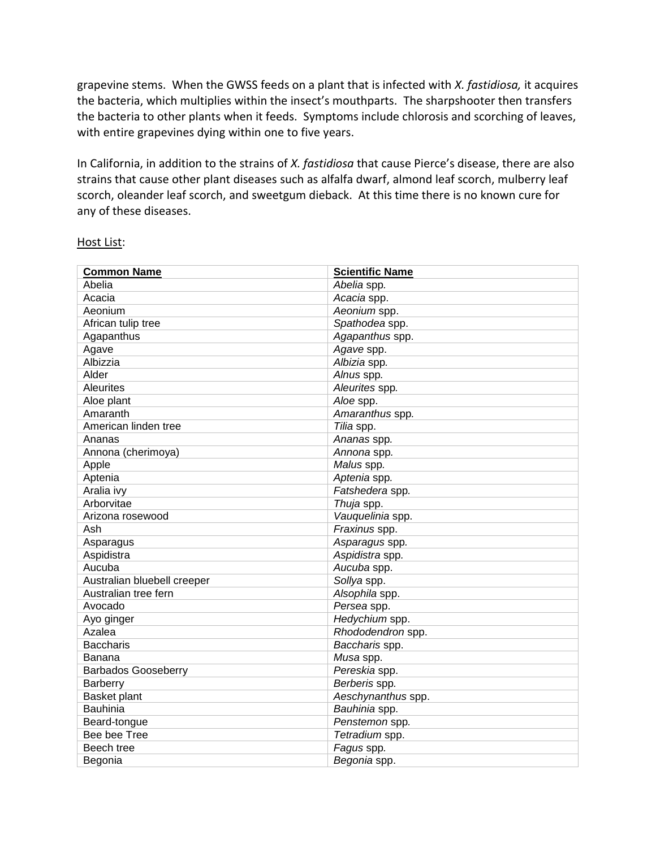grapevine stems. When the GWSS feeds on a plant that is infected with *X. fastidiosa,* it acquires the bacteria, which multiplies within the insect's mouthparts. The sharpshooter then transfers the bacteria to other plants when it feeds. Symptoms include chlorosis and scorching of leaves, with entire grapevines dying within one to five years.

In California, in addition to the strains of *X. fastidiosa* that cause Pierce's disease, there are also strains that cause other plant diseases such as alfalfa dwarf, almond leaf scorch, mulberry leaf scorch, oleander leaf scorch, and sweetgum dieback. At this time there is no known cure for any of these diseases.

Host List:

| <b>Common Name</b>          | <b>Scientific Name</b> |
|-----------------------------|------------------------|
| Abelia                      | Abelia spp.            |
| Acacia                      | Acacia spp.            |
| Aeonium                     | Aeonium spp.           |
| African tulip tree          | Spathodea spp.         |
| Agapanthus                  | Agapanthus spp.        |
| Agave                       | Agave spp.             |
| Albizzia                    | Albizia spp.           |
| Alder                       | Alnus spp.             |
| <b>Aleurites</b>            | Aleurites spp.         |
| Aloe plant                  | Aloe spp.              |
| Amaranth                    | Amaranthus spp.        |
| American linden tree        | Tilia spp.             |
| Ananas                      | Ananas spp.            |
| Annona (cherimoya)          | Annona spp.            |
| Apple                       | Malus spp.             |
| Aptenia                     | Aptenia spp.           |
| Aralia ivy                  | Fatshedera spp.        |
| Arborvitae                  | Thuja spp.             |
| Arizona rosewood            | Vauquelinia spp.       |
| Ash                         | Fraxinus spp.          |
| Asparagus                   | Asparagus spp.         |
| Aspidistra                  | Aspidistra spp.        |
| Aucuba                      | Aucuba spp.            |
| Australian bluebell creeper | Sollya spp.            |
| Australian tree fern        | Alsophila spp.         |
| Avocado                     | Persea spp.            |
| Ayo ginger                  | Hedychium spp.         |
| Azalea                      | Rhododendron spp.      |
| <b>Baccharis</b>            | Baccharis spp.         |
| Banana                      | Musa spp.              |
| <b>Barbados Gooseberry</b>  | Pereskia spp.          |
| Barberry                    | Berberis spp.          |
| Basket plant                | Aeschynanthus spp.     |
| <b>Bauhinia</b>             | Bauhinia spp.          |
| Beard-tongue                | Penstemon spp.         |
| Bee bee Tree                | Tetradium spp.         |
| Beech tree                  | Fagus spp.             |
| Begonia                     | Begonia spp.           |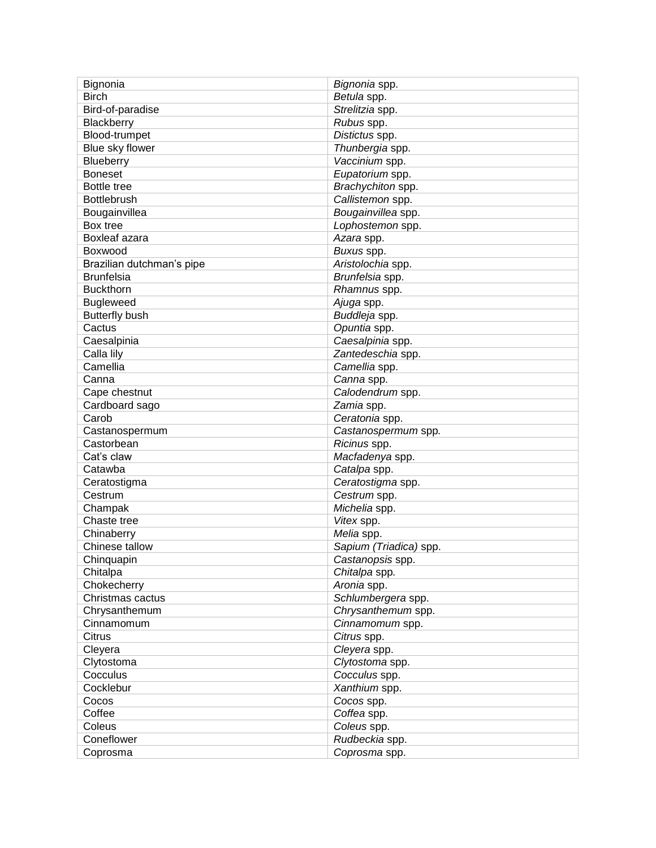| Bignonia                  | Bignonia spp.          |
|---------------------------|------------------------|
| <b>Birch</b>              | Betula spp.            |
| Bird-of-paradise          | Strelitzia spp.        |
| Blackberry                | Rubus spp.             |
| Blood-trumpet             | Distictus spp.         |
| Blue sky flower           | Thunbergia spp.        |
| Blueberry                 | Vaccinium spp.         |
| <b>Boneset</b>            | Eupatorium spp.        |
| Bottle tree               | Brachychiton spp.      |
| <b>Bottlebrush</b>        | Callistemon spp.       |
| Bougainvillea             | Bougainvillea spp.     |
| Box tree                  | Lophostemon spp.       |
| Boxleaf azara             | Azara spp.             |
| Boxwood                   | Buxus spp.             |
| Brazilian dutchman's pipe | Aristolochia spp.      |
| <b>Brunfelsia</b>         | Brunfelsia spp.        |
| <b>Buckthorn</b>          | Rhamnus spp.           |
| <b>Bugleweed</b>          | Ajuga spp.             |
| <b>Butterfly bush</b>     | Buddleja spp.          |
| Cactus                    | Opuntia spp.           |
| Caesalpinia               | Caesalpinia spp.       |
| Calla lily                | Zantedeschia spp.      |
| Camellia                  | Camellia spp.          |
| Canna                     | Canna spp.             |
| Cape chestnut             | Calodendrum spp.       |
| Cardboard sago            | Zamia spp.             |
| Carob                     | Ceratonia spp.         |
| Castanospermum            | Castanospermum spp.    |
| Castorbean                | Ricinus spp.           |
| Cat's claw                | Macfadenya spp.        |
| Catawba                   | Catalpa spp.           |
| Ceratostigma              | Ceratostigma spp.      |
| Cestrum                   | Cestrum spp.           |
| Champak                   | Michelia spp.          |
| Chaste tree               | Vitex spp.             |
| Chinaberry                | Melia spp.             |
| Chinese tallow            | Sapium (Triadica) spp. |
| Chinquapin                | Castanopsis spp.       |
| Chitalpa                  | Chitalpa spp.          |
| Chokecherry               | Aronia spp.            |
| Christmas cactus          | Schlumbergera spp.     |
| Chrysanthemum             | Chrysanthemum spp.     |
| Cinnamomum                | Cinnamomum spp.        |
| <b>Citrus</b>             | Citrus spp.            |
| Cleyera                   | Cleyera spp.           |
| Clytostoma                | Clytostoma spp.        |
| Cocculus                  | Cocculus spp.          |
| Cocklebur                 | Xanthium spp.          |
| Cocos                     | Cocos spp.             |
| Coffee                    | Coffea spp.            |
| Coleus                    | Coleus spp.            |
| Coneflower                | Rudbeckia spp.         |
|                           |                        |
| Coprosma                  | Coprosma spp.          |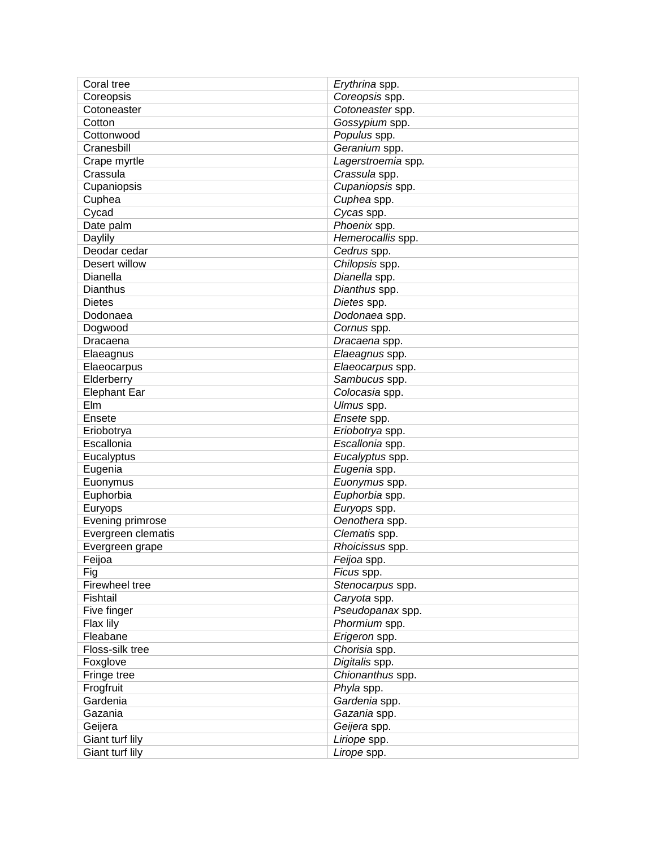| Coral tree                 | Erythrina spp.                    |
|----------------------------|-----------------------------------|
| Coreopsis                  | Coreopsis spp.                    |
| Cotoneaster                | Cotoneaster spp.                  |
| Cotton                     | Gossypium spp.                    |
| Cottonwood                 | Populus spp.                      |
| Cranesbill                 | Geranium spp.                     |
| Crape myrtle               | Lagerstroemia spp.                |
| Crassula                   | Crassula spp.                     |
| Cupaniopsis                | Cupaniopsis spp.                  |
| Cuphea                     | Cuphea spp.                       |
| Cycad                      | Cycas spp.                        |
| Date palm                  | Phoenix spp.                      |
| Daylily                    | Hemerocallis spp.                 |
| Deodar cedar               | Cedrus spp.                       |
| Desert willow              | Chilopsis spp.                    |
| Dianella                   | Dianella spp.                     |
| <b>Dianthus</b>            | Dianthus spp.                     |
| <b>Dietes</b>              | Dietes spp.                       |
| Dodonaea                   | Dodonaea spp.                     |
| Dogwood                    | Cornus spp.                       |
| Dracaena                   | Dracaena spp.                     |
|                            | Elaeagnus spp.                    |
| Elaeagnus                  |                                   |
| Elaeocarpus<br>Elderberry  | Elaeocarpus spp.<br>Sambucus spp. |
|                            |                                   |
| <b>Elephant Ear</b><br>Elm | Colocasia spp.<br>Ulmus spp.      |
| Ensete                     | Ensete spp.                       |
|                            | Eriobotrya spp.                   |
| Eriobotrya<br>Escallonia   | Escallonia spp.                   |
|                            | Eucalyptus spp.                   |
| Eucalyptus<br>Eugenia      | Eugenia spp.                      |
| Euonymus                   | Euonymus spp.                     |
| Euphorbia                  | Euphorbia spp.                    |
|                            |                                   |
| Euryops                    | Euryops spp.<br>Oenothera spp.    |
| Evening primrose           | Clematis spp.                     |
| Evergreen clematis         |                                   |
| Evergreen grape            | Rhoicissus spp.                   |
| Feijoa                     | Feijoa spp.                       |
| Fig                        | Ficus spp.                        |
| Firewheel tree             | Stenocarpus spp.                  |
| Fishtail                   | Caryota spp.                      |
| Five finger                | Pseudopanax spp.                  |
| Flax lily                  | Phormium spp.                     |
| Fleabane                   | Erigeron spp.                     |
| Floss-silk tree            | Chorisia spp.                     |
| Foxglove                   | Digitalis spp.                    |
| Fringe tree                | Chionanthus spp.                  |
| Frogfruit                  | Phyla spp.                        |
| Gardenia                   | Gardenia spp.                     |
| Gazania                    | Gazania spp.                      |
| Geijera                    | Geijera spp.                      |
| Giant turf lily            | Liriope spp.                      |
| Giant turf lily            | Lirope spp.                       |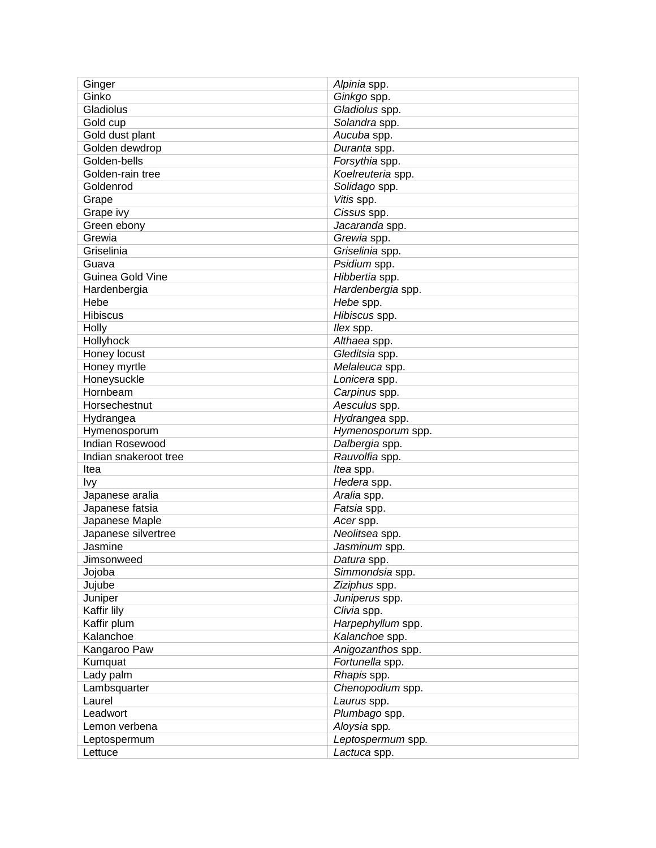| Ginger                  | Alpinia spp.      |
|-------------------------|-------------------|
| Ginko                   | Ginkgo spp.       |
| Gladiolus               | Gladiolus spp.    |
| Gold cup                | Solandra spp.     |
| Gold dust plant         | Aucuba spp.       |
| Golden dewdrop          | Duranta spp.      |
| Golden-bells            | Forsythia spp.    |
| Golden-rain tree        | Koelreuteria spp. |
| Goldenrod               | Solidago spp.     |
| Grape                   | Vitis spp.        |
| Grape ivy               | Cissus spp.       |
| Green ebony             | Jacaranda spp.    |
| Grewia                  | Grewia spp.       |
| Griselinia              | Griselinia spp.   |
| Guava                   | Psidium spp.      |
| <b>Guinea Gold Vine</b> | Hibbertia spp.    |
| Hardenbergia            | Hardenbergia spp. |
| Hebe                    | Hebe spp.         |
| <b>Hibiscus</b>         | Hibiscus spp.     |
| Holly                   | llex spp.         |
| Hollyhock               | Althaea spp.      |
| Honey locust            | Gleditsia spp.    |
| Honey myrtle            | Melaleuca spp.    |
| Honeysuckle             | Lonicera spp.     |
| Hornbeam                | Carpinus spp.     |
| Horsechestnut           | Aesculus spp.     |
| Hydrangea               | Hydrangea spp.    |
| Hymenosporum            | Hymenosporum spp. |
| Indian Rosewood         | Dalbergia spp.    |
| Indian snakeroot tree   | Rauvolfia spp.    |
| Itea                    | Itea spp.         |
| <b>Ivy</b>              | Hedera spp.       |
| Japanese aralia         | Aralia spp.       |
| Japanese fatsia         | Fatsia spp.       |
| Japanese Maple          | Acer spp.         |
| Japanese silvertree     | Neolitsea spp.    |
| Jasmine                 | Jasminum spp.     |
| Jimsonweed              | Datura spp.       |
| Jojoba                  | Simmondsia spp.   |
| Jujube                  | Ziziphus spp.     |
| Juniper                 | Juniperus spp.    |
| Kaffir lily             | Clivia spp.       |
| Kaffir plum             | Harpephyllum spp. |
| Kalanchoe               | Kalanchoe spp.    |
| Kangaroo Paw            | Anigozanthos spp. |
| Kumquat                 | Fortunella spp.   |
| Lady palm               | Rhapis spp.       |
| Lambsquarter            | Chenopodium spp.  |
| Laurel                  |                   |
| Leadwort                | Laurus spp.       |
|                         | Plumbago spp.     |
| Lemon verbena           | Aloysia spp.      |
| Leptospermum            | Leptospermum spp. |
| Lettuce                 | Lactuca spp.      |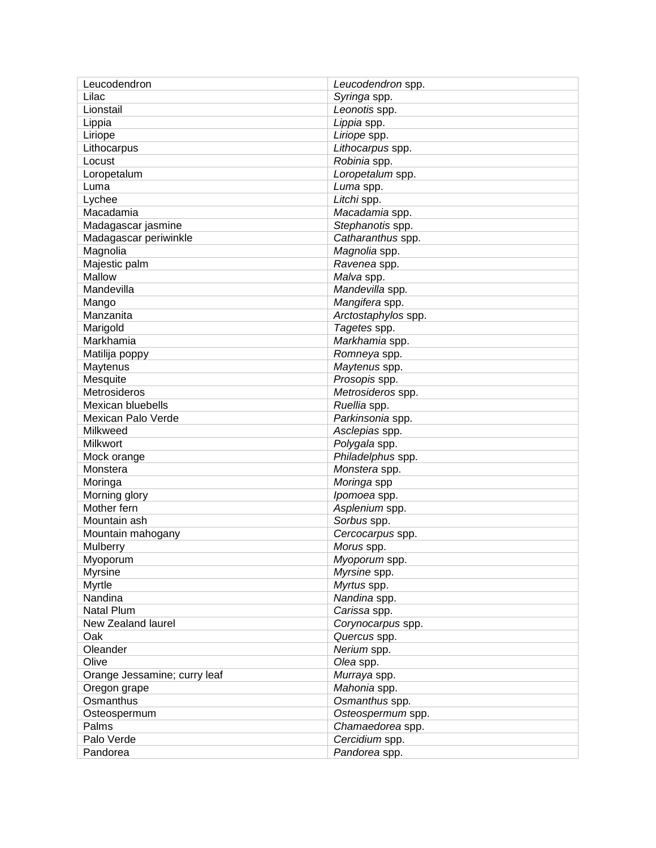| Leucodendron                 | Leucodendron spp.            |
|------------------------------|------------------------------|
| Lilac                        | Syringa spp.                 |
| Lionstail                    | Leonotis spp.                |
| Lippia                       | Lippia spp.                  |
| Liriope                      | Liriope spp.                 |
| Lithocarpus                  | Lithocarpus spp.             |
| Locust                       | Robinia spp.                 |
| Loropetalum                  | Loropetalum spp.             |
| Luma                         | Luma spp.                    |
| Lychee                       | Litchi spp.                  |
| Macadamia                    | Macadamia spp.               |
| Madagascar jasmine           | Stephanotis spp.             |
| Madagascar periwinkle        | Catharanthus spp.            |
| Magnolia                     | Magnolia spp.                |
| Majestic palm                | Ravenea spp.                 |
| Mallow                       | Malva spp.                   |
| Mandevilla                   | Mandevilla spp.              |
| Mango                        | Mangifera spp.               |
| Manzanita                    | Arctostaphylos spp.          |
| Marigold                     | Tagetes spp.                 |
| Markhamia                    | Markhamia spp.               |
| Matilija poppy               | Romneya spp.                 |
| Maytenus                     | Maytenus spp.                |
| Mesquite                     | Prosopis spp.                |
| Metrosideros                 | Metrosideros spp.            |
| Mexican bluebells            | Ruellia spp.                 |
| Mexican Palo Verde           | Parkinsonia spp.             |
| Milkweed                     | Asclepias spp.               |
| Milkwort                     | Polygala spp.                |
| Mock orange                  | Philadelphus spp.            |
| Monstera                     | Monstera spp.                |
| Moringa                      | Moringa spp                  |
| Morning glory                | Ipomoea spp.                 |
| Mother fern                  | Asplenium spp.               |
| Mountain ash                 | Sorbus spp.                  |
| Mountain mahogany            | Cercocarpus spp.             |
| Mulberry                     | Morus spp.                   |
| Myoporum                     | Myoporum spp.                |
| <b>Myrsine</b>               | Myrsine spp.                 |
| Myrtle                       | Myrtus spp.                  |
| Nandina                      | Nandina spp.                 |
| <b>Natal Plum</b>            | Carissa spp.                 |
| New Zealand laurel           | Corynocarpus spp.            |
| Oak                          | Quercus spp.                 |
| Oleander                     | Nerium spp.                  |
| Olive                        | Olea spp.                    |
|                              |                              |
| Orange Jessamine; curry leaf | Murraya spp.<br>Mahonia spp. |
| Oregon grape<br>Osmanthus    |                              |
|                              | Osmanthus spp.               |
| Osteospermum                 | Osteospermum spp.            |
| Palms                        | Chamaedorea spp.             |
| Palo Verde                   | Cercidium spp.               |
| Pandorea                     | Pandorea spp.                |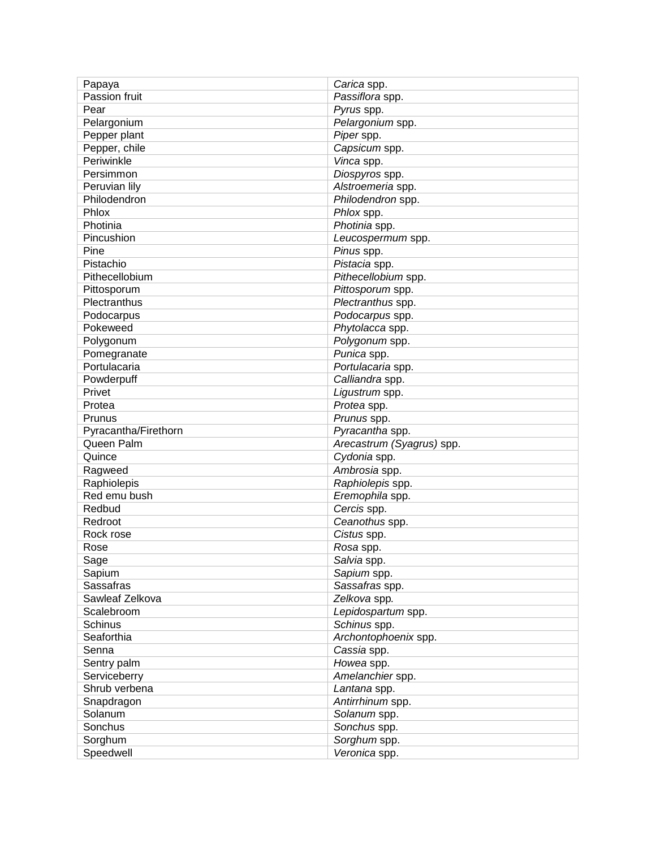| Papaya                             | Carica spp.               |
|------------------------------------|---------------------------|
| Passion fruit                      | Passiflora spp.           |
| Pear                               | Pyrus spp.                |
| Pelargonium                        | Pelargonium spp.          |
| Pepper plant                       | Piper spp.                |
| Pepper, chile                      | Capsicum spp.             |
| Periwinkle                         | Vinca spp.                |
| Persimmon                          | Diospyros spp.            |
| Peruvian lily                      | Alstroemeria spp.         |
| Philodendron                       | Philodendron spp.         |
| Phlox                              | Phlox spp.                |
| Photinia                           | Photinia spp.             |
| Pincushion                         | Leucospermum spp.         |
| Pine                               | Pinus spp.                |
| Pistachio                          | Pistacia spp.             |
| Pithecellobium                     | Pithecellobium spp.       |
| Pittosporum                        | Pittosporum spp.          |
| Plectranthus                       | Plectranthus spp.         |
| Podocarpus                         | Podocarpus spp.           |
| Pokeweed                           | Phytolacca spp.           |
| Polygonum                          | Polygonum spp.            |
| Pomegranate                        | Punica spp.               |
| Portulacaria                       | Portulacaria spp.         |
|                                    |                           |
| Powderpuff                         | Calliandra spp.           |
| Privet                             | Ligustrum spp.            |
| Protea                             | Protea spp.               |
| Prunus                             | Prunus spp.               |
| Pyracantha/Firethorn<br>Queen Palm | Pyracantha spp.           |
|                                    | Arecastrum (Syagrus) spp. |
| Quince                             | Cydonia spp.              |
| Ragweed                            | Ambrosia spp.             |
| Raphiolepis                        | Raphiolepis spp.          |
| Red emu bush                       | Eremophila spp.           |
| Redbud                             | Cercis spp.               |
| Redroot                            | Ceanothus spp.            |
| Rock rose                          | Cistus spp.               |
| Rose                               | Rosa spp.                 |
| Sage                               | Salvia spp.               |
| Sapium                             | Sapium spp.               |
| Sassafras                          | Sassafras spp.            |
| Sawleaf Zelkova                    | Zelkova spp.              |
| Scalebroom                         | Lepidospartum spp.        |
| <b>Schinus</b>                     | Schinus spp.              |
| Seaforthia                         | Archontophoenix spp.      |
| Senna                              | Cassia spp.               |
| Sentry palm                        | Howea spp.                |
| Serviceberry                       | Amelanchier spp.          |
| Shrub verbena                      | Lantana spp.              |
| Snapdragon                         | Antirrhinum spp.          |
| Solanum                            | Solanum spp.              |
| Sonchus                            | Sonchus spp.              |
| Sorghum                            | Sorghum spp.              |
| Speedwell                          | Veronica spp.             |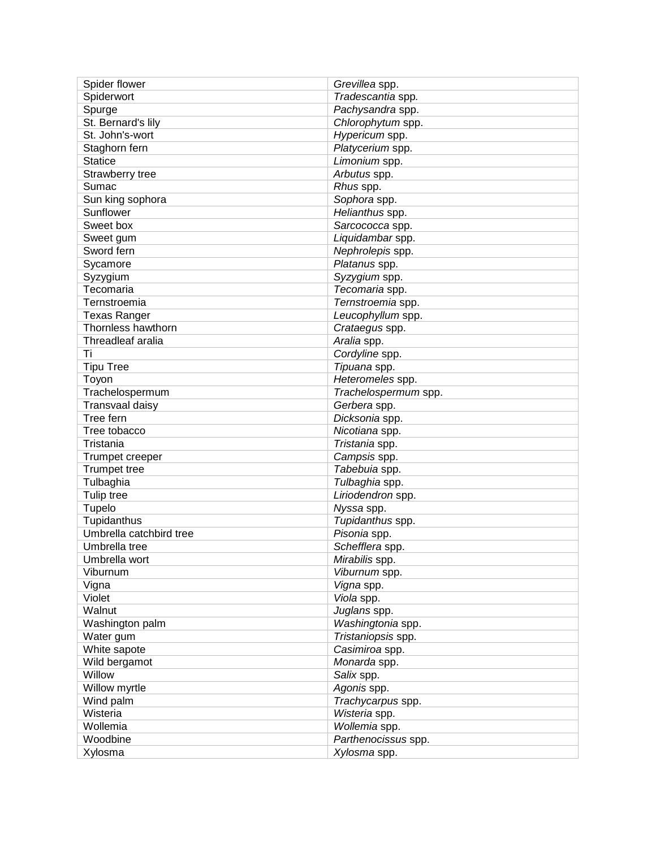| Spider flower           | Grevillea spp.       |
|-------------------------|----------------------|
| Spiderwort              | Tradescantia spp.    |
| Spurge                  | Pachysandra spp.     |
| St. Bernard's lily      | Chlorophytum spp.    |
| St. John's-wort         | Hypericum spp.       |
| Staghorn fern           | Platycerium spp.     |
| <b>Statice</b>          | Limonium spp.        |
| Strawberry tree         | Arbutus spp.         |
| Sumac                   | Rhus spp.            |
| Sun king sophora        | Sophora spp.         |
| Sunflower               | Helianthus spp.      |
| Sweet box               | Sarcococca spp.      |
| Sweet gum               | Liquidambar spp.     |
| Sword fern              | Nephrolepis spp.     |
| Sycamore                | Platanus spp.        |
| Syzygium                | Syzygium spp.        |
| Tecomaria               | Tecomaria spp.       |
| Ternstroemia            | Ternstroemia spp.    |
| <b>Texas Ranger</b>     | Leucophyllum spp.    |
| Thornless hawthorn      | Crataegus spp.       |
| Threadleaf aralia       | Aralia spp.          |
| Τi                      | Cordyline spp.       |
| <b>Tipu Tree</b>        | Tipuana spp.         |
| Toyon                   | Heteromeles spp.     |
| Trachelospermum         | Trachelospermum spp. |
| Transvaal daisy         | Gerbera spp.         |
| Tree fern               | Dicksonia spp.       |
| Tree tobacco            | Nicotiana spp.       |
| Tristania               | Tristania spp.       |
| Trumpet creeper         | Campsis spp.         |
| <b>Trumpet tree</b>     | Tabebuia spp.        |
| Tulbaghia               | Tulbaghia spp.       |
| Tulip tree              | Liriodendron spp.    |
| Tupelo                  | Nyssa spp.           |
| Tupidanthus             | Tupidanthus spp.     |
| Umbrella catchbird tree | Pisonia spp.         |
| Umbrella tree           | Schefflera spp.      |
| Umbrella wort           | Mirabilis spp.       |
| Viburnum                | Viburnum spp.        |
| Vigna                   | Vigna spp.           |
| Violet                  | Viola spp.           |
| Walnut                  | Juglans spp.         |
| Washington palm         | Washingtonia spp.    |
|                         |                      |
| Water gum               | Tristaniopsis spp.   |
| White sapote            | Casimiroa spp.       |
| Wild bergamot           | Monarda spp.         |
| Willow                  | Salix spp.           |
| Willow myrtle           | Agonis spp.          |
| Wind palm               | Trachycarpus spp.    |
| Wisteria                | Wisteria spp.        |
| Wollemia                | Wollemia spp.        |
| Woodbine                | Parthenocissus spp.  |
| Xylosma                 | Xylosma spp.         |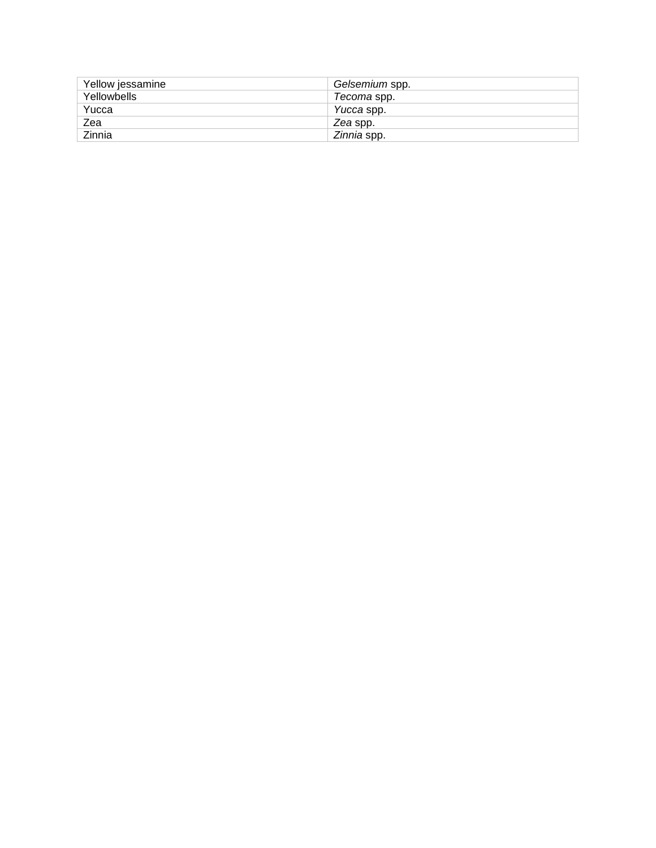| Yellow jessamine | Gelsemium spp. |
|------------------|----------------|
| Yellowbells      | Tecoma spp.    |
| Yucca            | Yucca spp.     |
| Zea              | Zea spp.       |
| Zinnia           | Zinnia spp.    |